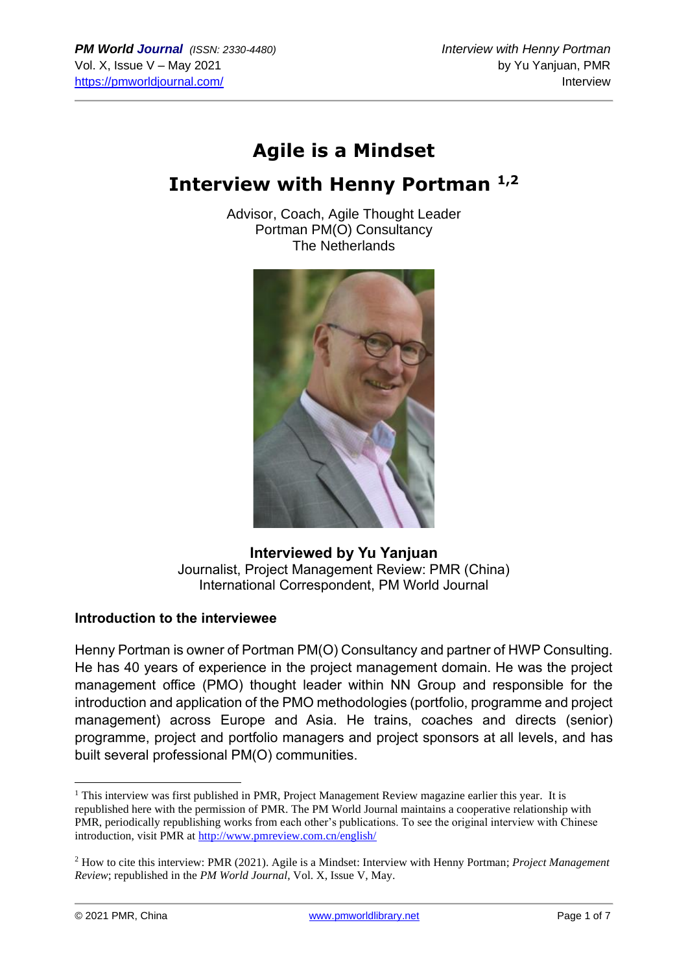# **Agile is a Mindset**

# **Interview with Henny Portman 1,2**

Advisor, Coach, Agile Thought Leader Portman PM(O) Consultancy The Netherlands



**Interviewed by Yu Yanjuan** Journalist, Project Management Review: PMR (China) International Correspondent, PM World Journal

#### **Introduction to the interviewee**

Henny Portman is owner of Portman PM(O) Consultancy and partner of HWP Consulting. He has 40 years of experience in the project management domain. He was the project management office (PMO) thought leader within NN Group and responsible for the introduction and application of the PMO methodologies (portfolio, programme and project management) across Europe and Asia. He trains, coaches and directs (senior) programme, project and portfolio managers and project sponsors at all levels, and has built several professional PM(O) communities.

<sup>&</sup>lt;sup>1</sup> This interview was first published in PMR, Project Management Review magazine earlier this year. It is republished here with the permission of PMR. The PM World Journal maintains a cooperative relationship with PMR, periodically republishing works from each other's publications. To see the original interview with Chinese introduction, visit PMR at<http://www.pmreview.com.cn/english/>

<sup>2</sup> How to cite this interview: PMR (2021). Agile is a Mindset: Interview with Henny Portman; *Project Management Review*; republished in the *PM World Journal*, Vol. X, Issue V, May.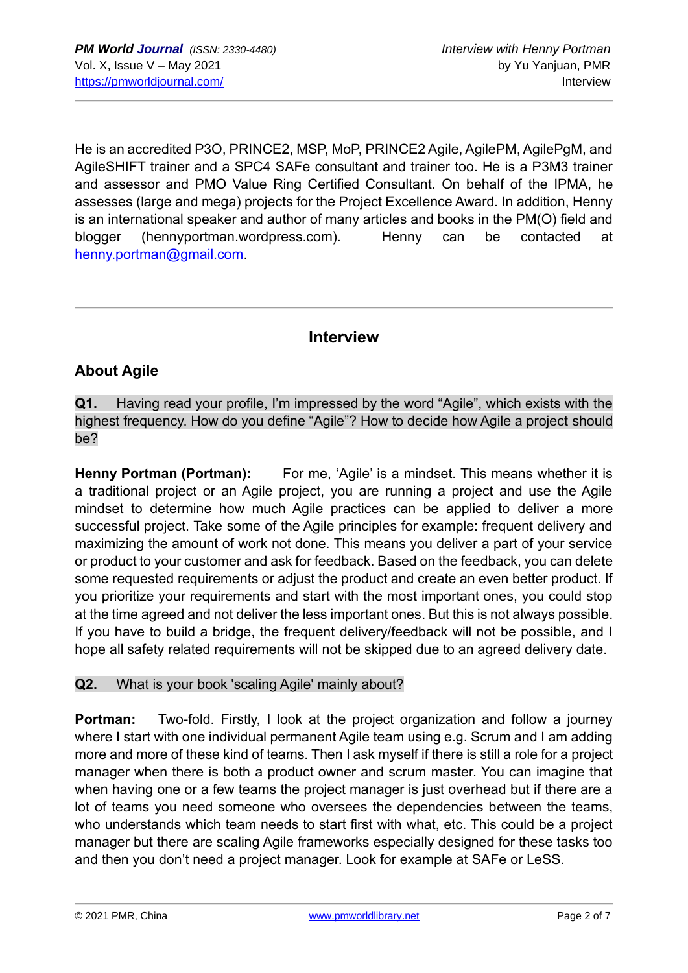He is an accredited P3O, PRINCE2, MSP, MoP, PRINCE2 Agile, AgilePM, AgilePgM, and AgileSHIFT trainer and a SPC4 SAFe consultant and trainer too. He is a P3M3 trainer and assessor and PMO Value Ring Certified Consultant. On behalf of the IPMA, he assesses (large and mega) projects for the Project Excellence Award. In addition, Henny is an international speaker and author of many articles and books in the PM(O) field and blogger (hennyportman.wordpress.com). Henny can be contacted at [henny.portman@gmail.com.](mailto:henny.portman@gmail.com)

# **Interview**

## **About Agile**

**Q1.** Having read your profile, I'm impressed by the word "Agile", which exists with the highest frequency. How do you define "Agile"? How to decide how Agile a project should be?

**Henny Portman (Portman):** For me, 'Agile' is a mindset. This means whether it is a traditional project or an Agile project, you are running a project and use the Agile mindset to determine how much Agile practices can be applied to deliver a more successful project. Take some of the Agile principles for example: frequent delivery and maximizing the amount of work not done. This means you deliver a part of your service or product to your customer and ask for feedback. Based on the feedback, you can delete some requested requirements or adjust the product and create an even better product. If you prioritize your requirements and start with the most important ones, you could stop at the time agreed and not deliver the less important ones. But this is not always possible. If you have to build a bridge, the frequent delivery/feedback will not be possible, and I hope all safety related requirements will not be skipped due to an agreed delivery date.

#### **Q2.** What is your book 'scaling Agile' mainly about?

**Portman:** Two-fold. Firstly, I look at the project organization and follow a journey where I start with one individual permanent Agile team using e.g. Scrum and I am adding more and more of these kind of teams. Then I ask myself if there is still a role for a project manager when there is both a product owner and scrum master. You can imagine that when having one or a few teams the project manager is just overhead but if there are a lot of teams you need someone who oversees the dependencies between the teams, who understands which team needs to start first with what, etc. This could be a project manager but there are scaling Agile frameworks especially designed for these tasks too and then you don't need a project manager. Look for example at SAFe or LeSS.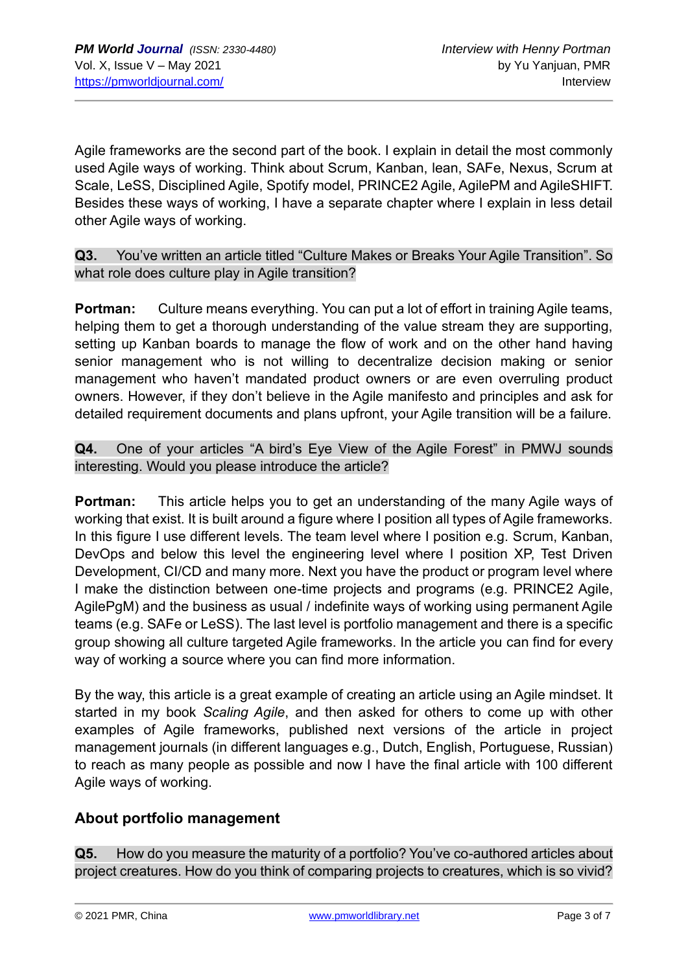Agile frameworks are the second part of the book. I explain in detail the most commonly used Agile ways of working. Think about Scrum, Kanban, lean, SAFe, Nexus, Scrum at Scale, LeSS, Disciplined Agile, Spotify model, PRINCE2 Agile, AgilePM and AgileSHIFT. Besides these ways of working, I have a separate chapter where I explain in less detail other Agile ways of working.

**Q3.** You've written an article titled "Culture Makes or Breaks Your Agile Transition". So what role does culture play in Agile transition?

**Portman:** Culture means everything. You can put a lot of effort in training Agile teams, helping them to get a thorough understanding of the value stream they are supporting, setting up Kanban boards to manage the flow of work and on the other hand having senior management who is not willing to decentralize decision making or senior management who haven't mandated product owners or are even overruling product owners. However, if they don't believe in the Agile manifesto and principles and ask for detailed requirement documents and plans upfront, your Agile transition will be a failure.

### **Q4.** One of your articles "A bird's Eye View of the Agile Forest" in PMWJ sounds interesting. Would you please introduce the article?

**Portman:** This article helps you to get an understanding of the many Agile ways of working that exist. It is built around a figure where I position all types of Agile frameworks. In this figure I use different levels. The team level where I position e.g. Scrum, Kanban, DevOps and below this level the engineering level where I position XP, Test Driven Development, CI/CD and many more. Next you have the product or program level where I make the distinction between one-time projects and programs (e.g. PRINCE2 Agile, AgilePgM) and the business as usual / indefinite ways of working using permanent Agile teams (e.g. SAFe or LeSS). The last level is portfolio management and there is a specific group showing all culture targeted Agile frameworks. In the article you can find for every way of working a source where you can find more information.

By the way, this article is a great example of creating an article using an Agile mindset. It started in my book *Scaling Agile*, and then asked for others to come up with other examples of Agile frameworks, published next versions of the article in project management journals (in different languages e.g., Dutch, English, Portuguese, Russian) to reach as many people as possible and now I have the final article with 100 different Agile ways of working.

## **About portfolio management**

**Q5.** How do you measure the maturity of a portfolio? You've co-authored articles about project creatures. How do you think of comparing projects to creatures, which is so vivid?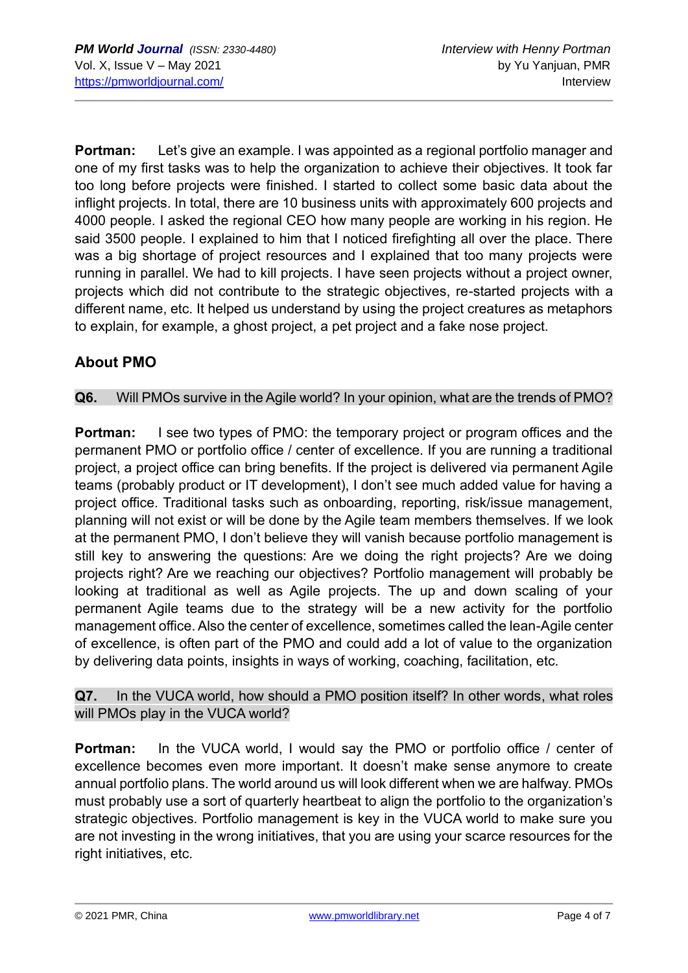**Portman:** Let's give an example. I was appointed as a regional portfolio manager and one of my first tasks was to help the organization to achieve their objectives. It took far too long before projects were finished. I started to collect some basic data about the inflight projects. In total, there are 10 business units with approximately 600 projects and 4000 people. I asked the regional CEO how many people are working in his region. He said 3500 people. I explained to him that I noticed firefighting all over the place. There was a big shortage of project resources and I explained that too many projects were running in parallel. We had to kill projects. I have seen projects without a project owner, projects which did not contribute to the strategic objectives, re-started projects with a different name, etc. It helped us understand by using the project creatures as metaphors to explain, for example, a ghost project, a pet project and a fake nose project.

# **About PMO**

#### **Q6.** Will PMOs survive in the Agile world? In your opinion, what are the trends of PMO?

**Portman:** I see two types of PMO: the temporary project or program offices and the permanent PMO or portfolio office / center of excellence. If you are running a traditional project, a project office can bring benefits. If the project is delivered via permanent Agile teams (probably product or IT development), I don't see much added value for having a project office. Traditional tasks such as onboarding, reporting, risk/issue management, planning will not exist or will be done by the Agile team members themselves. If we look at the permanent PMO, I don't believe they will vanish because portfolio management is still key to answering the questions: Are we doing the right projects? Are we doing projects right? Are we reaching our objectives? Portfolio management will probably be looking at traditional as well as Agile projects. The up and down scaling of your permanent Agile teams due to the strategy will be a new activity for the portfolio management office. Also the center of excellence, sometimes called the lean-Agile center of excellence, is often part of the PMO and could add a lot of value to the organization by delivering data points, insights in ways of working, coaching, facilitation, etc.

#### **Q7.** In the VUCA world, how should a PMO position itself? In other words, what roles will PMOs play in the VUCA world?

**Portman:** In the VUCA world, I would say the PMO or portfolio office / center of excellence becomes even more important. It doesn't make sense anymore to create annual portfolio plans. The world around us will look different when we are halfway. PMOs must probably use a sort of quarterly heartbeat to align the portfolio to the organization's strategic objectives. Portfolio management is key in the VUCA world to make sure you are not investing in the wrong initiatives, that you are using your scarce resources for the right initiatives, etc.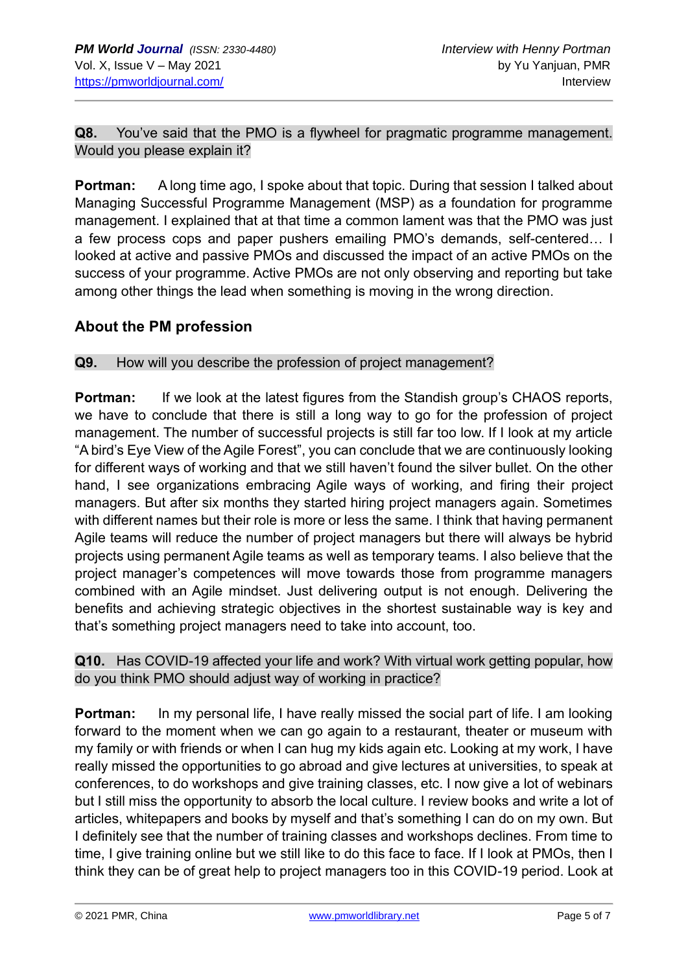**Q8.** You've said that the PMO is a flywheel for pragmatic programme management. Would you please explain it?

**Portman:** A long time ago, I spoke about that topic. During that session I talked about Managing Successful Programme Management (MSP) as a foundation for programme management. I explained that at that time a common lament was that the PMO was just a few process cops and paper pushers emailing PMO's demands, self-centered… I looked at active and passive PMOs and discussed the impact of an active PMOs on the success of your programme. Active PMOs are not only observing and reporting but take among other things the lead when something is moving in the wrong direction.

### **About the PM profession**

**Q9.** How will you describe the profession of project management?

**Portman:** If we look at the latest figures from the Standish group's CHAOS reports, we have to conclude that there is still a long way to go for the profession of project management. The number of successful projects is still far too low. If I look at my article "A bird's Eye View of the Agile Forest", you can conclude that we are continuously looking for different ways of working and that we still haven't found the silver bullet. On the other hand, I see organizations embracing Agile ways of working, and firing their project managers. But after six months they started hiring project managers again. Sometimes with different names but their role is more or less the same. I think that having permanent Agile teams will reduce the number of project managers but there will always be hybrid projects using permanent Agile teams as well as temporary teams. I also believe that the project manager's competences will move towards those from programme managers combined with an Agile mindset. Just delivering output is not enough. Delivering the benefits and achieving strategic objectives in the shortest sustainable way is key and that's something project managers need to take into account, too.

**Q10.** Has COVID-19 affected your life and work? With virtual work getting popular, how do you think PMO should adjust way of working in practice?

**Portman:** In my personal life, I have really missed the social part of life. I am looking forward to the moment when we can go again to a restaurant, theater or museum with my family or with friends or when I can hug my kids again etc. Looking at my work, I have really missed the opportunities to go abroad and give lectures at universities, to speak at conferences, to do workshops and give training classes, etc. I now give a lot of webinars but I still miss the opportunity to absorb the local culture. I review books and write a lot of articles, whitepapers and books by myself and that's something I can do on my own. But I definitely see that the number of training classes and workshops declines. From time to time, I give training online but we still like to do this face to face. If I look at PMOs, then I think they can be of great help to project managers too in this COVID-19 period. Look at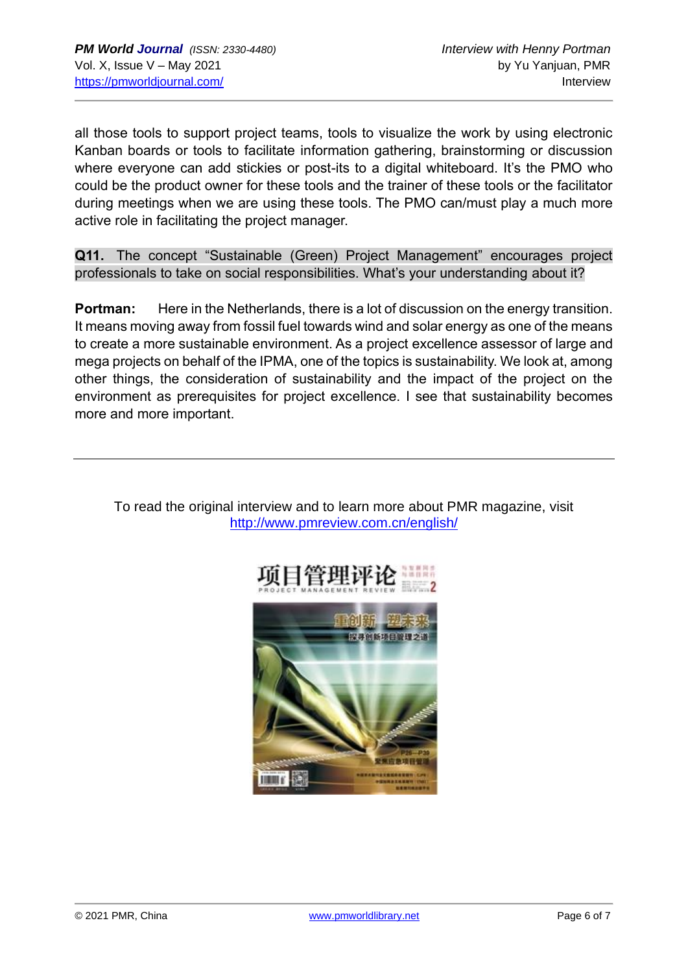all those tools to support project teams, tools to visualize the work by using electronic Kanban boards or tools to facilitate information gathering, brainstorming or discussion where everyone can add stickies or post-its to a digital whiteboard. It's the PMO who could be the product owner for these tools and the trainer of these tools or the facilitator during meetings when we are using these tools. The PMO can/must play a much more active role in facilitating the project manager.

**Q11.** The concept "Sustainable (Green) Project Management" encourages project professionals to take on social responsibilities. What's your understanding about it?

**Portman:** Here in the Netherlands, there is a lot of discussion on the energy transition. It means moving away from fossil fuel towards wind and solar energy as one of the means to create a more sustainable environment. As a project excellence assessor of large and mega projects on behalf of the IPMA, one of the topics is sustainability. We look at, among other things, the consideration of sustainability and the impact of the project on the environment as prerequisites for project excellence. I see that sustainability becomes more and more important.



To read the original interview and to learn more about PMR magazine, visit <http://www.pmreview.com.cn/english/>